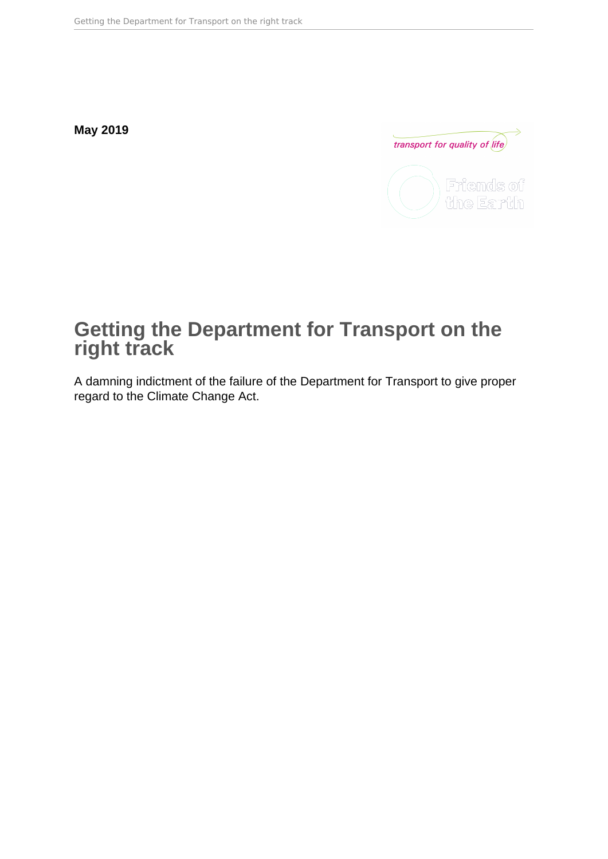**May 2019**



# **Getting the Department for Transport on the right track**

A damning indictment of the failure of the Department for Transport to give proper regard to the Climate Change Act.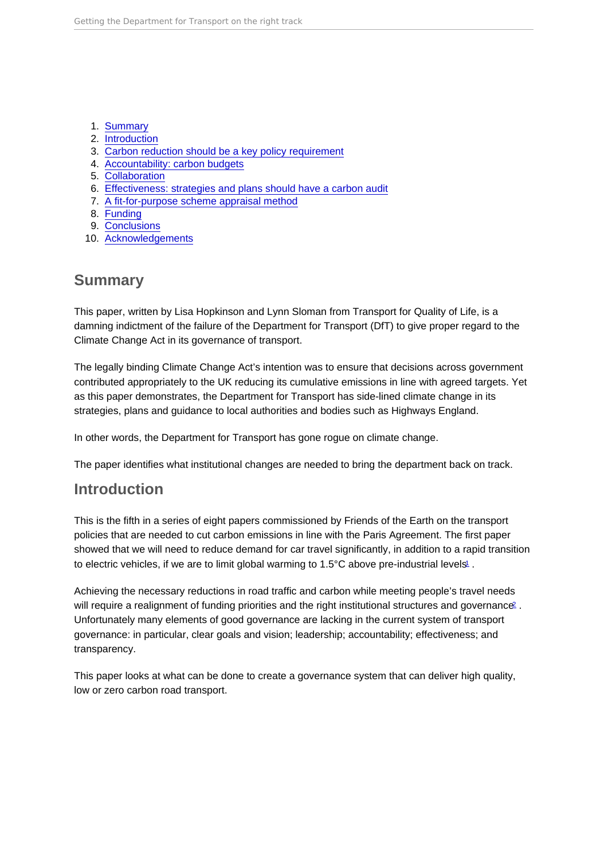- <span id="page-1-0"></span>1. Summary
- 2. Introduction
- 3. [Carbon reduction should be a key policy requirement](#page-2-0)
- 4. [Accountability: carbon budgets](#page-3-0)
- 5. [Collaboration](#page-5-0)
- 6. [Effectiveness: strategies and plans should have a carbon audit](#page-6-0)
- 7. [A fit-for-purpose scheme appraisal method](#page-7-0)
- 8. [Funding](#page-8-0)
- 9. [Conclusions](#page-9-0)
- 10. [Acknowledgements](#page-10-0)

# Summary

This paper, written by Lisa Hopkinson and Lynn Sloman from Transport for Quality of Life, is a damning indictment of the failure of the Department for Transport (DfT) to give proper regard to the Climate Change Act in its governance of transport.

The legally binding Climate Change Act's intention was to ensure that decisions across government contributed appropriately to the UK reducing its cumulative emissions in line with agreed targets. Yet as this paper demonstrates, the Department for Transport has side-lined climate change in its strategies, plans and guidance to local authorities and bodies such as Highways England.

In other words, the Department for Transport has gone rogue on climate change.

The paper identifies what institutional changes are needed to bring the department back on track.

# Introduction

This is the fifth in a series of eight papers commissioned by Friends of the Earth on the transport policies that are needed to cut carbon emissions in line with the Paris Agreement. The first paper showed that we will need to reduce demand for car travel significantly, in addition to a rapid transition to electric vehicles, if we are to limit global warming to  $1.5^{\circ}$  $1.5^{\circ}$ C above pre-industrial levels.

Achieving the necessary reductions in road traffic and carbon while meeting people's travel needs will require a realignment of funding priorities and the right institutional structures and governance. Unfortunately many elements of good governance are lacking in the current system of transport governance: in particular, clear goals and vision; leadership; accountability; effectiveness; and transparency.

This paper looks at what can be done to create a governance system that can deliver high quality, low or zero carbon road transport.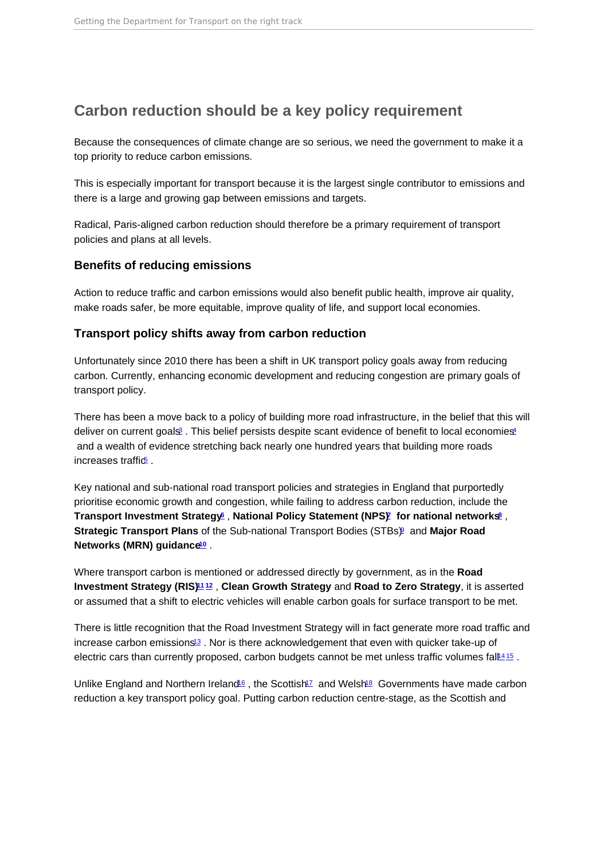# <span id="page-2-0"></span>Carbon reduction should be a key policy requirement

Because the consequences of climate change are so serious, we need the government to make it a top priority to reduce carbon emissions.

This is especially important for transport because it is the largest single contributor to emissions and there is a large and growing gap between emissions and targets.

Radical, Paris-aligned carbon reduction should therefore be a primary requirement of transport policies and plans at all levels.

### Benefits of reducing emissions

Action to reduce traffic and carbon emissions would also benefit public health, improve air quality, make roads safer, be more equitable, improve quality of life, and support local economies.

### Transport policy shifts away from carbon reduction

Unfortunately since 2010 there has been a shift in UK transport policy goals away from reducing carbon. Currently, enhancing economic development and reducing congestion are primary goals of transport policy.

There has been a move back to a policy of building more road infrastructure, in the belief that this will deliver on current goals<sup>[3](#page-11-0)</sup>. This belief persists despite scant evidence of benefit to local economies<sup>[4](#page-11-0)</sup> and a wealth of evidence stretching back nearly one hundred years that building more roads increases traffic $\overline{5}$  $\overline{5}$  $\overline{5}$ .

Key national and sub-national road transport policies and strategies in England that purportedly prioritise economic growth and congestion, while failing to address carbon reduction, include the Transport Investment Strategy  $6$ , National Policy Statement (NPS)  $7$  for national networks  $8$ , Strategic Transport Plans of the Sub-national Transport Bodies (STBs) and Major Road Networks (MRN) guidance  $10$ .

Where transport carbon is mentioned or addressed directly by government, as in the Road Investment Strategy (RIS) [11](#page-11-0) [12](#page-12-0) , Clean Growth Strategy and Road to Zero Strategy , it is asserted or assumed that a shift to electric vehicles will enable carbon goals for surface transport to be met.

There is little recognition that the Road Investment Strategy will in fact generate more road traffic and increase carbon emissions<sup>[13](#page-12-0)</sup>. Nor is there acknowledgement that even with quicker take-up of electric cars than currently proposed, carbon budgets cannot be met unless traffic volumes fall<sup>[14](#page-12-0)[15](#page-12-0)</sup>.

Unlike England and Northern Ireland<sup>[16](#page-12-0)</sup>, the Scottish<sup>[17](#page-12-0)</sup> and Welsh<sup>[18](#page-12-0)</sup> Governments have made carbon reduction a key transport policy goal. Putting carbon reduction centre-stage, as the Scottish and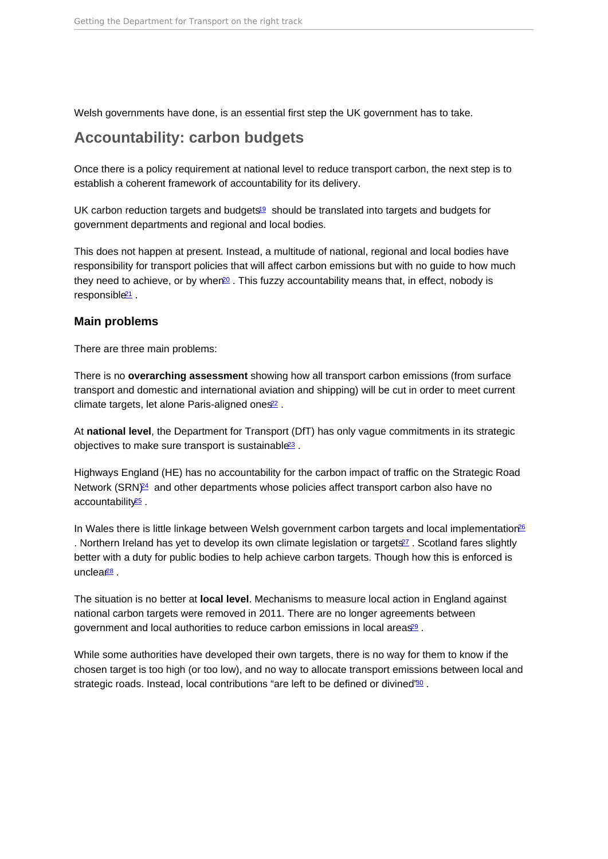<span id="page-3-0"></span>Welsh governments have done, is an essential first step the UK government has to take.

# Accountability: carbon budgets

Once there is a policy requirement at national level to reduce transport carbon, the next step is to establish a coherent framework of accountability for its delivery.

UK carbon reduction targets and budgets<sup>[19](#page-12-0)</sup> should be translated into targets and budgets for government departments and regional and local bodies.

This does not happen at present. Instead, a multitude of national, regional and local bodies have responsibility for transport policies that will affect carbon emissions but with no guide to how much they need to achieve, or by when<sup>[20](#page-12-0)</sup>. This fuzzy accountability means that, in effect, nobody is responsible<sup>[21](#page-12-0)</sup>.

#### Main problems

There are three main problems:

There is no overarching assessment showing how all transport carbon emissions (from surface transport and domestic and international aviation and shipping) will be cut in order to meet current climate targets, let alone Paris-aligned ones<sup>[22](#page-12-0)</sup>.

At national level , the Department for Transport (DfT) has only vague commitments in its strategic objectives to make sure transport is sustainable<sup>[23](#page-12-0)</sup>.

Highways England (HE) has no accountability for the carbon impact of traffic on the Strategic Road Network (SRN)<sup>[24](#page-12-0)</sup> and other departments whose policies affect transport carbon also have no accountability<sup>[25](#page-12-0)</sup>

In Wales there is little linkage between Welsh government carbon targets and local implementation<sup>[26](#page-12-0)</sup> . Northern Ireland has yet to develop its own climate legislation or targets<sup>27</sup>. Scotland fares slightly better with a duty for public bodies to help achieve carbon targets. Though how this is enforced is unclea $28$ .

The situation is no better at local level . Mechanisms to measure local action in England against national carbon targets were removed in 2011. There are no longer agreements between government and local authorities to reduce carbon emissions in local areas<sup>[29](#page-13-0)</sup>.

While some authorities have developed their own targets, there is no way for them to know if the chosen target is too high (or too low), and no way to allocate transport emissions between local and strategic roads. Instead, local contributions "are left to be defined or divined"<sup>[30](#page-13-0)</sup>.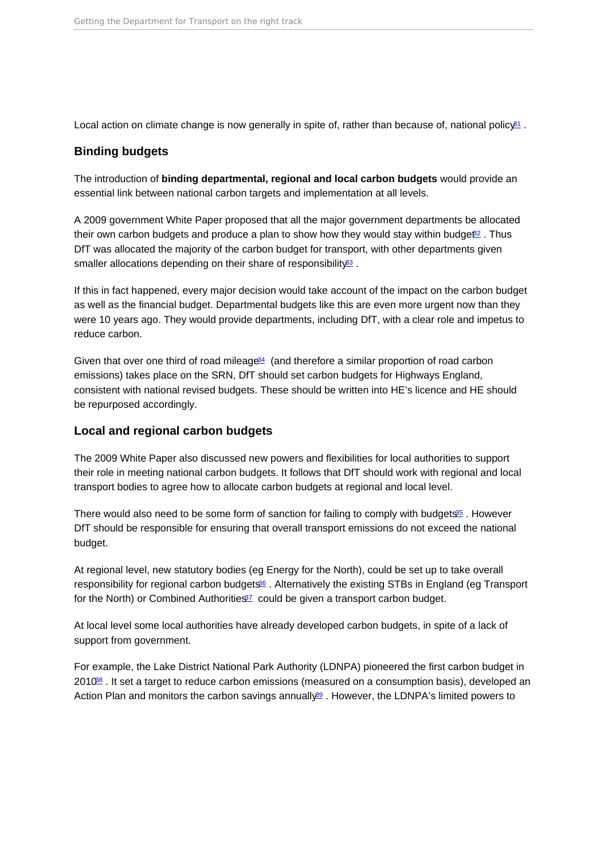<span id="page-4-0"></span>Local action on climate change is now generally in spite of, rather than because of, national policy<sup>[31](#page-13-0)</sup>.

### Binding budgets

The introduction of binding departmental, regional and local carbon budgets would provide an essential link between national carbon targets and implementation at all levels.

A 2009 government White Paper proposed that all the major government departments be allocated their own carbon budgets and produce a plan to show how they would stay within budge $\ell^2$ . Thus DfT was allocated the majority of the carbon budget for transport, with other departments given smaller allocations depending on their share of responsibility<sup>[33](#page-13-0)</sup>.

If this in fact happened, every major decision would take account of the impact on the carbon budget as well as the financial budget. Departmental budgets like this are even more urgent now than they were 10 years ago. They would provide departments, including DfT, with a clear role and impetus to reduce carbon.

Given that over one third of road mileage<sup>[34](#page-13-0)</sup> (and therefore a similar proportion of road carbon emissions) takes place on the SRN, DfT should set carbon budgets for Highways England, consistent with national revised budgets. These should be written into HE's licence and HE should be repurposed accordingly.

### Local and regional carbon budgets

The 2009 White Paper also discussed new powers and flexibilities for local authorities to support their role in meeting national carbon budgets. It follows that DfT should work with regional and local transport bodies to agree how to allocate carbon budgets at regional and local level.

There would also need to be some form of sanction for failing to comply with budgets<sup>[35](#page-13-0)</sup>. However DfT should be responsible for ensuring that overall transport emissions do not exceed the national budget.

At regional level, new statutory bodies (eg Energy for the North), could be set up to take overall responsibility for regional carbon budgets<sup>[36](#page-13-0)</sup>. Alternatively the existing STBs in England (eg Transport for the North) or Combined Authorities<sup>[37](#page-13-0)</sup> could be given a transport carbon budget.

At local level some local authorities have already developed carbon budgets, in spite of a lack of support from government.

For example, the Lake District National Park Authority (LDNPA) pioneered the first carbon budget in 2010<sup>88</sup>. It set a target to reduce carbon emissions (measured on a consumption basis), developed an Action Plan and monitors the carbon savings annually<sup>89</sup>. However, the LDNPA's limited powers to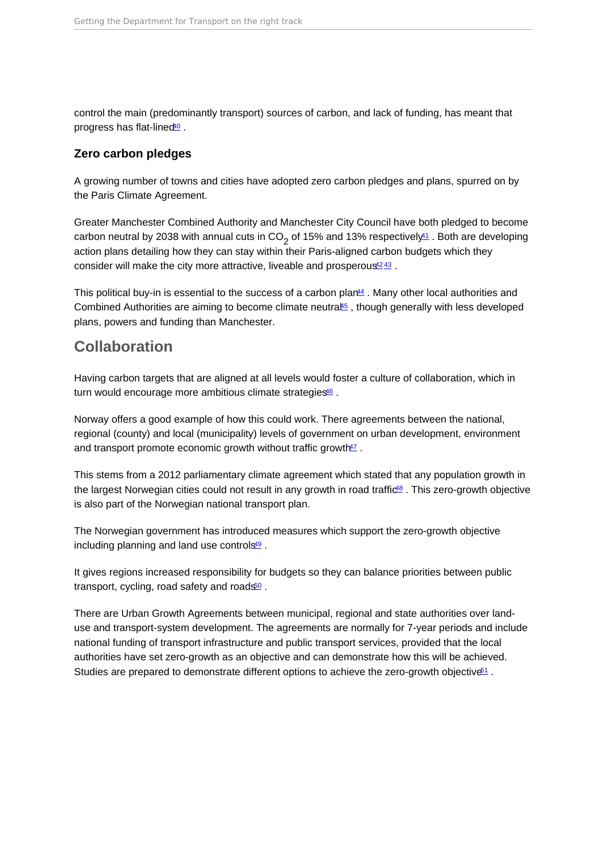<span id="page-5-0"></span>control the main (predominantly transport) sources of carbon, and lack of funding, has meant that progress has flat-lined<sup>[40](#page-13-0)</sup>.

### Zero carbon pledges

A growing number of towns and cities have adopted zero carbon pledges and plans, spurred on by the Paris Climate Agreement.

Greater Manchester Combined Authority and Manchester City Council have both pledged to become carbon neutral by 2038 with annual cuts in CO<sub>2</sub> of 15% and 13% respectively<del><sup>11</sup></del> . Both are developing action plans detailing how they can stay within their Paris-aligned carbon budgets which they consider will make the city more attractive, liveable and prosperous<sup>[42](#page-13-0)[43](#page-14-0)</sup>.

This political buy-in is essential to the success of a carbon plan $44$ . Many other local authorities and Combined Authorities are aiming to become climate neutra $45$ , though generally with less developed plans, powers and funding than Manchester.

### Collaboration

Having carbon targets that are aligned at all levels would foster a culture of collaboration, which in turn would encourage more ambitious climate strategies<sup>[46](#page-14-0)</sup>.

Norway offers a good example of how this could work. There agreements between the national, regional (county) and local (municipality) levels of government on urban development, environment and transport promote economic growth without traffic growth<sup>[47](#page-14-0)</sup>.

This stems from a 2012 parliamentary climate agreement which stated that any population growth in the largest Norwegian cities could not result in any growth in road traffic<sup>[48](#page-14-0)</sup>. This zero-growth objective is also part of the Norwegian national transport plan.

The Norwegian government has introduced measures which support the zero-growth objective including planning and land use controls<sup>[49](#page-14-0)</sup>.

It gives regions increased responsibility for budgets so they can balance priorities between public transport, cycling, road safety and roads<sup>[50](#page-14-0)</sup>.

There are Urban Growth Agreements between municipal, regional and state authorities over landuse and transport-system development. The agreements are normally for 7-year periods and include national funding of transport infrastructure and public transport services, provided that the local authorities have set zero-growth as an objective and can demonstrate how this will be achieved. Studies are prepared to demonstrate different options to achieve the zero-growth objective<sup>[51](#page-14-0)</sup>.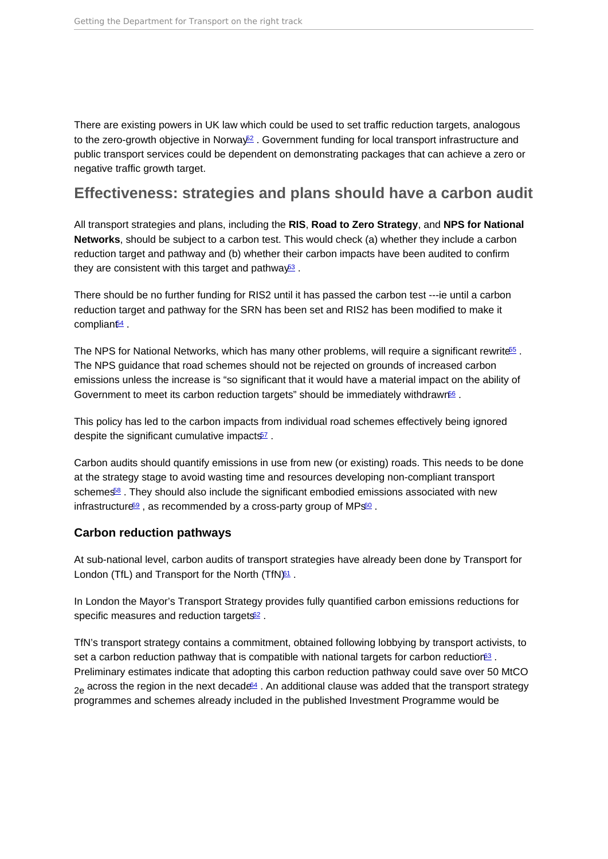<span id="page-6-0"></span>There are existing powers in UK law which could be used to set traffic reduction targets, analogous to the zero-growth objective in Norway<sup>[52](#page-14-0)</sup>. Government funding for local transport infrastructure and public transport services could be dependent on demonstrating packages that can achieve a zero or negative traffic growth target.

### Effectiveness: strategies and plans should have a carbon audit

All transport strategies and plans, including the RIS, Road to Zero Strategy , and NPS for National Networks , should be subject to a carbon test. This would check (a) whether they include a carbon reduction target and pathway and (b) whether their carbon impacts have been audited to confirm they are consistent with this target and pathway<sup>[53](#page-14-0)</sup>.

There should be no further funding for RIS2 until it has passed the carbon test ---ie until a carbon reduction target and pathway for the SRN has been set and RIS2 has been modified to make it complian $t\frac{64}{5}$ .

The NPS for National Networks, which has many other problems, will require a significant rewrite<sup>[55](#page-14-0)</sup>. The NPS guidance that road schemes should not be rejected on grounds of increased carbon emissions unless the increase is "so significant that it would have a material impact on the ability of Government to meet its carbon reduction targets" should be immediately withdrawn<sup>66</sup>.

This policy has led to the carbon impacts from individual road schemes effectively being ignored despite the significant cumulative impacts<sup>[57](#page-14-0)</sup>.

Carbon audits should quantify emissions in use from new (or existing) roads. This needs to be done at the strategy stage to avoid wasting time and resources developing non-compliant transport schemes<sup>88</sup>. They should also include the significant embodied emissions associated with new infrastructure<sup>[59](#page-15-0)</sup>, as recommended by a cross-party group of MPs<sup>[60](#page-15-0)</sup>.

### Carbon reduction pathways

At sub-national level, carbon audits of transport strategies have already been done by Transport for London (TfL) and Transport for the North (TfN $)$ <sup>[61](#page-15-0)</sup>.

In London the Mayor's Transport Strategy provides fully quantified carbon emissions reductions for specific measures and reduction targets<sup>[62](#page-15-0)</sup>.

TfN's transport strategy contains a commitment, obtained following lobbying by transport activists, to set a carbon reduction pathway that is compatible with national targets for carbon reduction<sup>[63](#page-15-0)</sup>. Preliminary estimates indicate that adopting this carbon reduction pathway could save over 50 MtCO  $_{2a}$  across the region in the next decade<sup>4</sup>. An additional clause was added that the transport strategy programmes and schemes already included in the published Investment Programme would be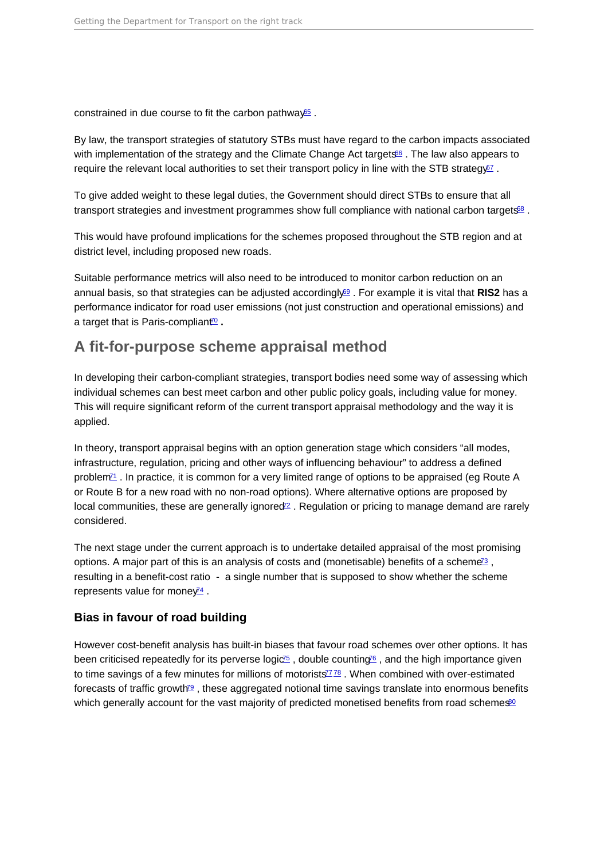<span id="page-7-0"></span>constrained in due course to fit the carbon pathway<sup>[65](#page-15-0)</sup>.

By law, the transport strategies of statutory STBs must have regard to the carbon impacts associated with implementation of the strategy and the Climate Change Act targets<sup>[66](#page-15-0)</sup>. The law also appears to require the relevant local authorities to set their transport policy in line with the STB strategy $67$ .

To give added weight to these legal duties, the Government should direct STBs to ensure that all transport strategies and investment programmes show full compliance with national carbon targets<sup>88</sup>.

This would have profound implications for the schemes proposed throughout the STB region and at district level, including proposed new roads.

Suitable performance metrics will also need to be introduced to monitor carbon reduction on an annual basis, so that strategies can be adjusted accordingly $69$ . For example it is vital that RIS2 has a performance indicator for road user emissions (not just construction and operational emissions) and a target that is Paris-compliant<sup>o</sup>.

# A fit-for-purpose scheme appraisal method

In developing their carbon-compliant strategies, transport bodies need some way of assessing which individual schemes can best meet carbon and other public policy goals, including value for money. This will require significant reform of the current transport appraisal methodology and the way it is applied.

In theory, transport appraisal begins with an option generation stage which considers "all modes, infrastructure, regulation, pricing and other ways of influencing behaviour" to address a defined problem<sup>11</sup>. In practice, it is common for a very limited range of options to be appraised (eg Route A or Route B for a new road with no non-road options). Where alternative options are proposed by local communities, these are generally ignored<sup>2</sup>. Regulation or pricing to manage demand are rarely considered.

The next stage under the current approach is to undertake detailed appraisal of the most promising options. A major part of this is an analysis of costs and (monetisable) benefits of a scheme<sup>[73](#page-16-0)</sup>, resulting in a benefit-cost ratio - a single number that is supposed to show whether the scheme represents value for mone  $y^2$ .

#### Bias in favour of road building

However cost-benefit analysis has built-in biases that favour road schemes over other options. It has been criticised repeatedly for its perverse logic<sup> $5$ </sup>, double counting<sup> $6$ </sup>, and the high importance given to time savings of a few minutes for millions of motorists $778$  $778$ . When combined with over-estimated forecasts of traffic growth<sup>[79](#page-16-0)</sup>, these aggregated notional time savings translate into enormous benefits which generally account for the vast majority of predicted monetised benefits from road schemes<sup>60</sup>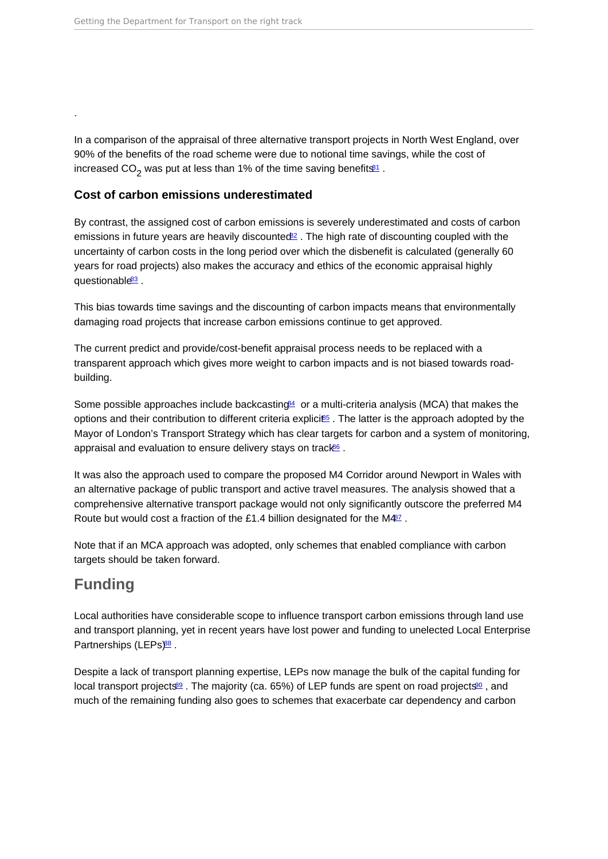In a comparison of the appraisal of three alternative transport projects in North West England, over 90% of the benefits of the road scheme were due to notional time savings, while the cost of increased CO<sub>2</sub> was put at less than 1% of the time saving benefits $^{\underline{31}}$  .

### Cost of carbon emissions underestimated

By contrast, the assigned cost of carbon emissions is severely underestimated and costs of carbon emissions in future years are heavily discounted $82$ . The high rate of discounting coupled with the uncertainty of carbon costs in the long period over which the disbenefit is calculated (generally 60 years for road projects) also makes the accuracy and ethics of the economic appraisal highly questionable<sup>[83](#page-17-0)</sup>.

This bias towards time savings and the discounting of carbon impacts means that environmentally damaging road projects that increase carbon emissions continue to get approved.

The current predict and provide/cost-benefit appraisal process needs to be replaced with a transparent approach which gives more weight to carbon impacts and is not biased towards roadbuilding.

Some possible approaches include backcasting $4$  or a multi-criteria analysis (MCA) that makes the options and their contribution to different criteria explicites. The latter is the approach adopted by the Mayor of London's Transport Strategy which has clear targets for carbon and a system of monitoring, appraisal and evaluation to ensure delivery stays on track<sup>66</sup>.

It was also the approach used to compare the proposed M4 Corridor around Newport in Wales with an alternative package of public transport and active travel measures. The analysis showed that a comprehensive alternative transport package would not only significantly outscore the preferred M4 Route but would cost a fraction of the £1.4 billion designated for the M4<sup>[87](#page-17-0)</sup>.

Note that if an MCA approach was adopted, only schemes that enabled compliance with carbon targets should be taken forward.

# Funding

<span id="page-8-0"></span>.

Local authorities have considerable scope to influence transport carbon emissions through land use and transport planning, yet in recent years have lost power and funding to unelected Local Enterprise Partnerships (LEPs)<sup>[88](#page-17-0)</sup> .

Despite a lack of transport planning expertise, LEPs now manage the bulk of the capital funding for local transport projects<sup>[89](#page-17-0)</sup>. The majority (ca. 65%) of LEP funds are spent on road projects<sup>80</sup>, and much of the remaining funding also goes to schemes that exacerbate car dependency and carbon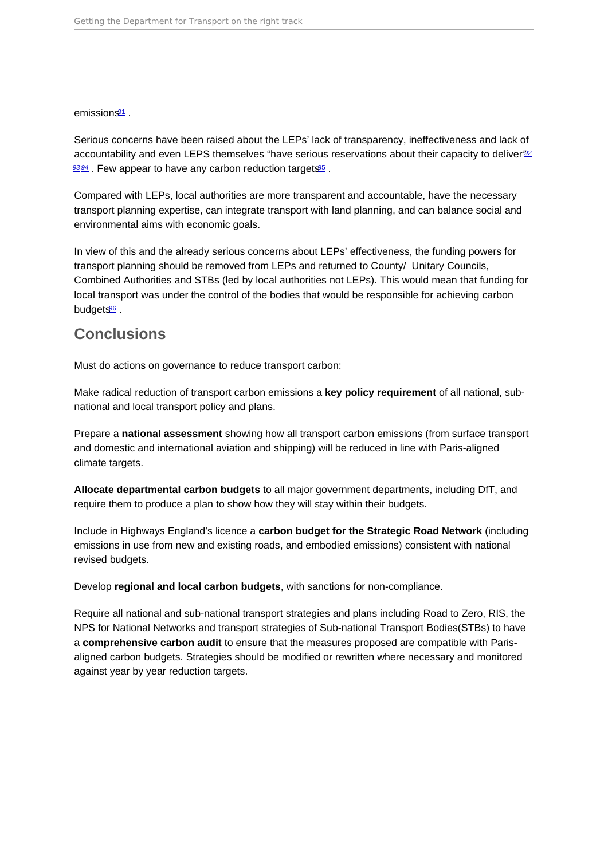<span id="page-9-0"></span> $emission \tfrac{91}{5}$  $emission \tfrac{91}{5}$  $emission \tfrac{91}{5}$ 

Serious concerns have been raised about the LEPs' lack of transparency, ineffectiveness and lack of accountability and even LEPS themselves "have serious reservations about their capacity to deliver"<sup>[92](#page-17-0)</sup>  $93.94$  $93.94$  $93.94$ . Few appear to have any carbon reduction targets  $95$ .

Compared with LEPs, local authorities are more transparent and accountable, have the necessary transport planning expertise, can integrate transport with land planning, and can balance social and environmental aims with economic goals.

In view of this and the already serious concerns about LEPs' effectiveness, the funding powers for transport planning should be removed from LEPs and returned to County/ Unitary Councils, Combined Authorities and STBs (led by local authorities not LEPs). This would mean that funding for local transport was under the control of the bodies that would be responsible for achieving carbon budgets<sup>[96](#page-18-0)</sup>.

### **Conclusions**

Must do actions on governance to reduce transport carbon:

Make radical reduction of transport carbon emissions a key policy requirement of all national, subnational and local transport policy and plans.

Prepare a national assessment showing how all transport carbon emissions (from surface transport and domestic and international aviation and shipping) will be reduced in line with Paris-aligned climate targets.

Allocate departmental carbon budgets to all major government departments, including DfT, and require them to produce a plan to show how they will stay within their budgets.

Include in Highways England's licence a carbon budget for the Strategic Road Network (including emissions in use from new and existing roads, and embodied emissions) consistent with national revised budgets.

Develop regional and local carbon budgets , with sanctions for non-compliance.

Require all national and sub-national transport strategies and plans including Road to Zero, RIS, the NPS for National Networks and transport strategies of Sub-national Transport Bodies(STBs) to have a comprehensive carbon audit to ensure that the measures proposed are compatible with Parisaligned carbon budgets. Strategies should be modified or rewritten where necessary and monitored against year by year reduction targets.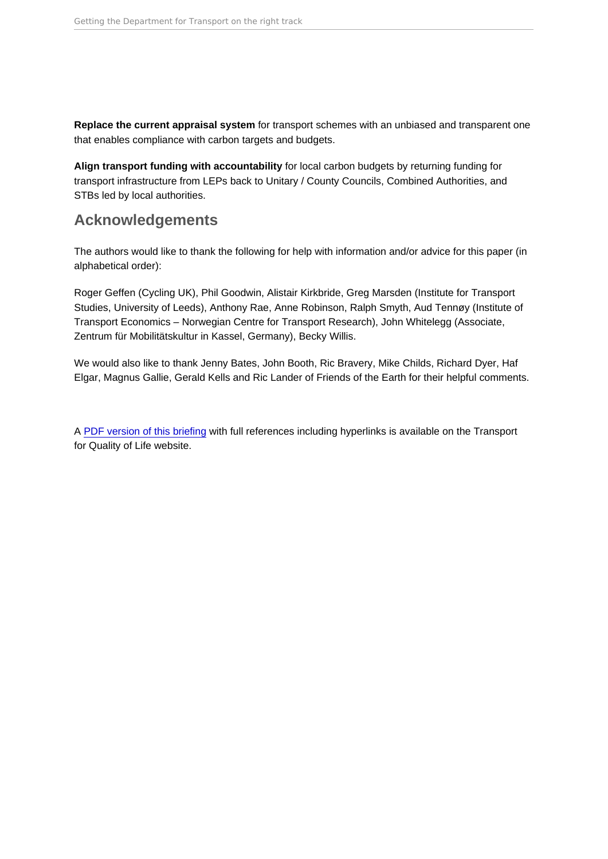<span id="page-10-0"></span>Replace the current appraisal system for transport schemes with an unbiased and transparent one that enables compliance with carbon targets and budgets.

Align transport funding with accountability for local carbon budgets by returning funding for transport infrastructure from LEPs back to Unitary / County Councils, Combined Authorities, and STBs led by local authorities.

# Acknowledgements

The authors would like to thank the following for help with information and/or advice for this paper (in alphabetical order):

Roger Geffen (Cycling UK), Phil Goodwin, Alistair Kirkbride, Greg Marsden (Institute for Transport Studies, University of Leeds), Anthony Rae, Anne Robinson, Ralph Smyth, Aud Tennøy (Institute of Transport Economics – Norwegian Centre for Transport Research), John Whitelegg (Associate, Zentrum für Mobilitätskultur in Kassel, Germany), Becky Willis.

We would also like to thank Jenny Bates, John Booth, Ric Bravery, Mike Childs, Richard Dyer, Haf Elgar, Magnus Gallie, Gerald Kells and Ric Lander of Friends of the Earth for their helpful comments.

A [PDF version of this briefing](https://www.transportforqualityoflife.com/u/files/5 Getting the Department for Transport on the right track briefing.pdf) with full references including hyperlinks is available on the Transport for Quality of Life website.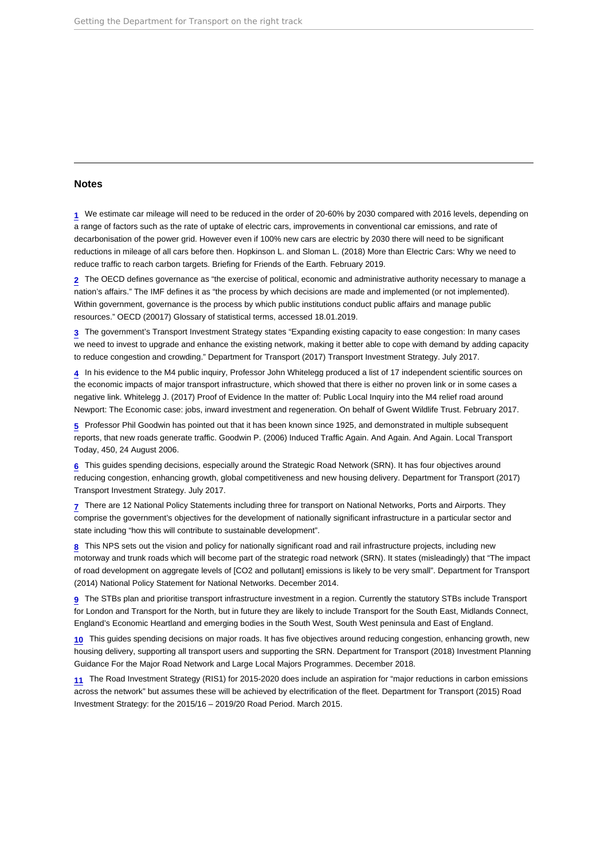#### <span id="page-11-0"></span>Notes

[1](#page-1-0) We estimate car mileage will need to be reduced in the order of 20-60% by 2030 compared with 2016 levels, depending on a range of factors such as the rate of uptake of electric cars, improvements in conventional car emissions, and rate of decarbonisation of the power grid. However even if 100% new cars are electric by 2030 there will need to be significant reductions in mileage of all cars before then. Hopkinson L. and Sloman L. (2018) More than Electric Cars: Why we need to reduce traffic to reach carbon targets. Briefing for Friends of the Earth. February 2019.

[2](#page-1-0) The OECD defines governance as "the exercise of political, economic and administrative authority necessary to manage a nation's affairs." The IMF defines it as "the process by which decisions are made and implemented (or not implemented). Within government, governance is the process by which public institutions conduct public affairs and manage public resources." OECD (20017) Glossary of statistical terms, accessed 18.01.2019.

[3](#page-2-0) The government's Transport Investment Strategy states "Expanding existing capacity to ease congestion: In many cases we need to invest to upgrade and enhance the existing network, making it better able to cope with demand by adding capacity to reduce congestion and crowding." Department for Transport (2017) Transport Investment Strategy. July 2017.

[4](#page-2-0) In his evidence to the M4 public inquiry, Professor John Whitelegg produced a list of 17 independent scientific sources on the economic impacts of major transport infrastructure, which showed that there is either no proven link or in some cases a negative link. Whitelegg J. (2017) Proof of Evidence In the matter of: Public Local Inquiry into the M4 relief road around Newport: The Economic case: jobs, inward investment and regeneration. On behalf of Gwent Wildlife Trust. February 2017.

[5](#page-2-0) Professor Phil Goodwin has pointed out that it has been known since 1925, and demonstrated in multiple subsequent reports, that new roads generate traffic. Goodwin P. (2006) Induced Traffic Again. And Again. And Again. Local Transport Today, 450, 24 August 2006.

[6](#page-2-0) This guides spending decisions, especially around the Strategic Road Network (SRN). It has four objectives around reducing congestion, enhancing growth, global competitiveness and new housing delivery. Department for Transport (2017) Transport Investment Strategy. July 2017.

[7](#page-2-0) There are 12 National Policy Statements including three for transport on National Networks, Ports and Airports. They comprise the government's objectives for the development of nationally significant infrastructure in a particular sector and state including "how this will contribute to sustainable development".

[8](#page-2-0) This NPS sets out the vision and policy for nationally significant road and rail infrastructure projects, including new motorway and trunk roads which will become part of the strategic road network (SRN). It states (misleadingly) that "The impact of road development on aggregate levels of [CO2 and pollutant] emissions is likely to be very small". Department for Transport (2014) National Policy Statement for National Networks. December 2014.

[9](#page-2-0) The STBs plan and prioritise transport infrastructure investment in a region. Currently the statutory STBs include Transport for London and Transport for the North, but in future they are likely to include Transport for the South East, Midlands Connect, England's Economic Heartland and emerging bodies in the South West, South West peninsula and East of England.

[10](#page-2-0) This guides spending decisions on major roads. It has five objectives around reducing congestion, enhancing growth, new housing delivery, supporting all transport users and supporting the SRN. Department for Transport (2018) Investment Planning Guidance For the Major Road Network and Large Local Majors Programmes. December 2018.

[11](#page-2-0) The Road Investment Strategy (RIS1) for 2015-2020 does include an aspiration for "major reductions in carbon emissions across the network" but assumes these will be achieved by electrification of the fleet. Department for Transport (2015) Road Investment Strategy: for the 2015/16 – 2019/20 Road Period. March 2015.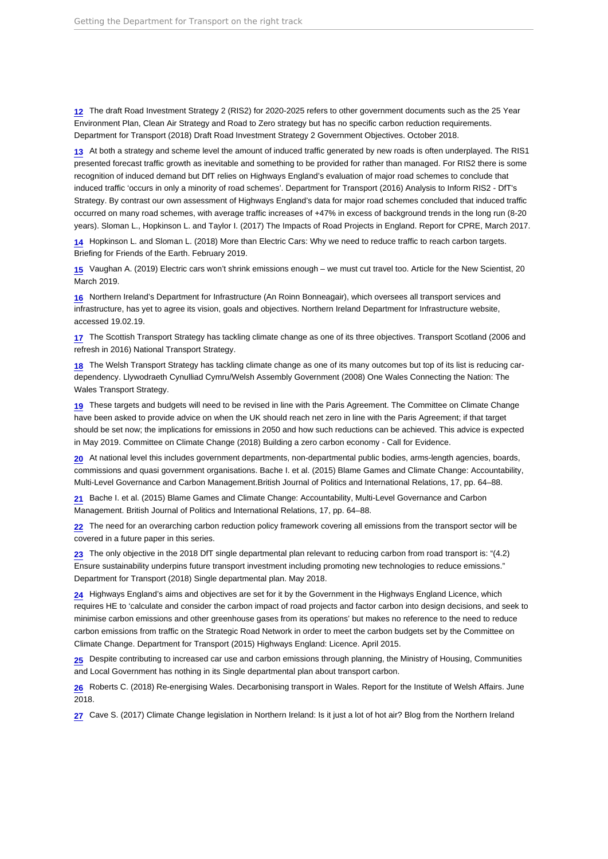<span id="page-12-0"></span>[12](#page-2-0) The draft Road Investment Strategy 2 (RIS2) for 2020-2025 refers to other government documents such as the 25 Year Environment Plan, Clean Air Strategy and Road to Zero strategy but has no specific carbon reduction requirements. Department for Transport (2018) Draft Road Investment Strategy 2 Government Objectives. October 2018.

[13](#page-2-0) At both a strategy and scheme level the amount of induced traffic generated by new roads is often underplayed. The RIS1 presented forecast traffic growth as inevitable and something to be provided for rather than managed. For RIS2 there is some recognition of induced demand but DfT relies on Highways England's evaluation of major road schemes to conclude that induced traffic 'occurs in only a minority of road schemes'. Department for Transport (2016) Analysis to Inform RIS2 - DfT's Strategy. By contrast our own assessment of Highways England's data for major road schemes concluded that induced traffic occurred on many road schemes, with average traffic increases of +47% in excess of background trends in the long run (8-20 years). Sloman L., Hopkinson L. and Taylor I. (2017) The Impacts of Road Projects in England. Report for CPRE, March 2017.

[14](#page-2-0) Hopkinson L. and Sloman L. (2018) More than Electric Cars: Why we need to reduce traffic to reach carbon targets. Briefing for Friends of the Earth. February 2019.

[15](#page-2-0) Vaughan A. (2019) Electric cars won't shrink emissions enough – we must cut travel too. Article for the New Scientist, 20 March 2019.

[16](#page-2-0) Northern Ireland's Department for Infrastructure (An Roinn Bonneagair), which oversees all transport services and infrastructure, has yet to agree its vision, goals and objectives. Northern Ireland Department for Infrastructure website, accessed 19.02.19.

[17](#page-2-0) The Scottish Transport Strategy has tackling climate change as one of its three objectives. Transport Scotland (2006 and refresh in 2016) National Transport Strategy.

[18](#page-2-0) The Welsh Transport Strategy has tackling climate change as one of its many outcomes but top of its list is reducing cardependency. Llywodraeth Cynulliad Cymru/Welsh Assembly Government (2008) One Wales Connecting the Nation: The Wales Transport Strategy.

[19](#page-3-0) These targets and budgets will need to be revised in line with the Paris Agreement. The Committee on Climate Change have been asked to provide advice on when the UK should reach net zero in line with the Paris Agreement; if that target should be set now; the implications for emissions in 2050 and how such reductions can be achieved. This advice is expected in May 2019. Committee on Climate Change (2018) Building a zero carbon economy - Call for Evidence.

[20](#page-3-0) At national level this includes government departments, non-departmental public bodies, arms-length agencies, boards, commissions and quasi government organisations. Bache I. et al. (2015) Blame Games and Climate Change: Accountability, Multi-Level Governance and Carbon Management.British Journal of Politics and International Relations, 17, pp. 64–88.

[21](#page-3-0) Bache I. et al. (2015) Blame Games and Climate Change: Accountability, Multi-Level Governance and Carbon Management. British Journal of Politics and International Relations, 17, pp. 64–88.

[22](#page-3-0) The need for an overarching carbon reduction policy framework covering all emissions from the transport sector will be covered in a future paper in this series.

[23](#page-3-0) The only objective in the 2018 DfT single departmental plan relevant to reducing carbon from road transport is: "(4.2) Ensure sustainability underpins future transport investment including promoting new technologies to reduce emissions." Department for Transport (2018) Single departmental plan. May 2018.

 $24$  Highways England's aims and objectives are set for it by the Government in the Highways England Licence, which requires HE to 'calculate and consider the carbon impact of road projects and factor carbon into design decisions, and seek to minimise carbon emissions and other greenhouse gases from its operations' but makes no reference to the need to reduce carbon emissions from traffic on the Strategic Road Network in order to meet the carbon budgets set by the Committee on Climate Change. Department for Transport (2015) Highways England: Licence. April 2015.

[25](#page-3-0) Despite contributing to increased car use and carbon emissions through planning, the Ministry of Housing, Communities and Local Government has nothing in its Single departmental plan about transport carbon.

[26](#page-3-0) Roberts C. (2018) Re-energising Wales. Decarbonising transport in Wales. Report for the Institute of Welsh Affairs. June 2018.

[27](#page-3-0) Cave S. (2017) Climate Change legislation in Northern Ireland: Is it just a lot of hot air? Blog from the Northern Ireland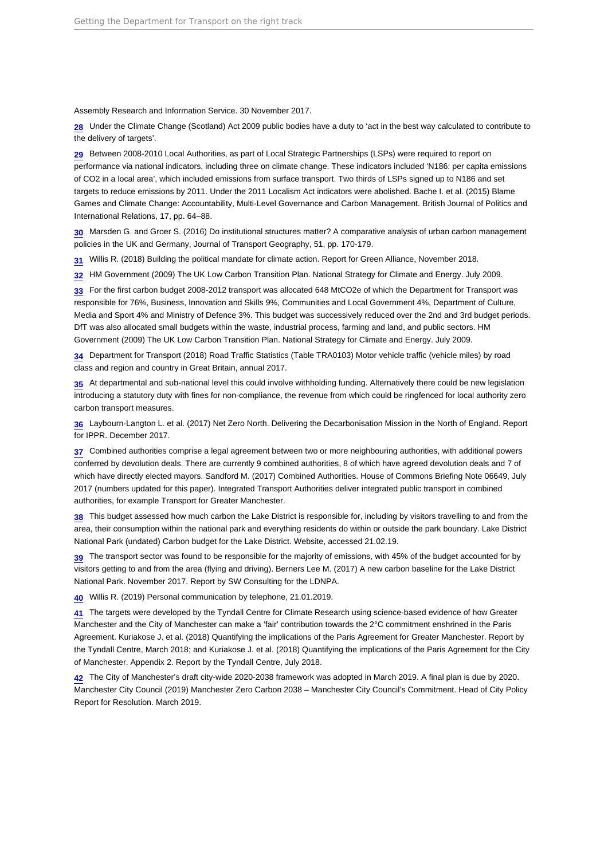<span id="page-13-0"></span>Assembly Research and Information Service. 30 November 2017.

[28](#page-3-0) Under the Climate Change (Scotland) Act 2009 public bodies have a duty to 'act in the best way calculated to contribute to the delivery of targets'.

[29](#page-3-0) Between 2008-2010 Local Authorities, as part of Local Strategic Partnerships (LSPs) were required to report on performance via national indicators, including three on climate change. These indicators included 'N186: per capita emissions of CO2 in a local area', which included emissions from surface transport. Two thirds of LSPs signed up to N186 and set targets to reduce emissions by 2011. Under the 2011 Localism Act indicators were abolished. Bache I. et al. (2015) Blame Games and Climate Change: Accountability, Multi-Level Governance and Carbon Management. British Journal of Politics and International Relations, 17, pp. 64–88.

[30](#page-3-0) Marsden G. and Groer S. (2016) Do institutional structures matter? A comparative analysis of urban carbon management policies in the UK and Germany, Journal of Transport Geography, 51, pp. 170-179.

[31](#page-4-0) Willis R. (2018) Building the political mandate for climate action. Report for Green Alliance, November 2018.

[32](#page-4-0) HM Government (2009) The UK Low Carbon Transition Plan. National Strategy for Climate and Energy. July 2009.

[33](#page-4-0) For the first carbon budget 2008-2012 transport was allocated 648 MtCO2e of which the Department for Transport was responsible for 76%, Business, Innovation and Skills 9%, Communities and Local Government 4%, Department of Culture, Media and Sport 4% and Ministry of Defence 3%. This budget was successively reduced over the 2nd and 3rd budget periods. DfT was also allocated small budgets within the waste, industrial process, farming and land, and public sectors. HM Government (2009) The UK Low Carbon Transition Plan. National Strategy for Climate and Energy. July 2009.

[34](#page-4-0) Department for Transport (2018) Road Traffic Statistics (Table TRA0103) Motor vehicle traffic (vehicle miles) by road class and region and country in Great Britain, annual 2017.

[35](#page-4-0) At departmental and sub-national level this could involve withholding funding. Alternatively there could be new legislation introducing a statutory duty with fines for non-compliance, the revenue from which could be ringfenced for local authority zero carbon transport measures.

[36](#page-4-0) Laybourn-Langton L. et al. (2017) Net Zero North. Delivering the Decarbonisation Mission in the North of England. Report for IPPR. December 2017.

[37](#page-4-0) Combined authorities comprise a legal agreement between two or more neighbouring authorities, with additional powers conferred by devolution deals. There are currently 9 combined authorities, 8 of which have agreed devolution deals and 7 of which have directly elected mayors. Sandford M. (2017) Combined Authorities. House of Commons Briefing Note 06649, July 2017 (numbers updated for this paper). Integrated Transport Authorities deliver integrated public transport in combined authorities, for example Transport for Greater Manchester.

[38](#page-4-0) This budget assessed how much carbon the Lake District is responsible for, including by visitors travelling to and from the area, their consumption within the national park and everything residents do within or outside the park boundary. Lake District National Park (undated) Carbon budget for the Lake District. Website, accessed 21.02.19.

[39](#page-4-0) The transport sector was found to be responsible for the majority of emissions, with 45% of the budget accounted for by visitors getting to and from the area (flying and driving). Berners Lee M. (2017) A new carbon baseline for the Lake District National Park. November 2017. Report by SW Consulting for the LDNPA.

[40](#page-5-0) Willis R. (2019) Personal communication by telephone, 21.01.2019.

[41](#page-5-0) The targets were developed by the Tyndall Centre for Climate Research using science-based evidence of how Greater Manchester and the City of Manchester can make a 'fair' contribution towards the 2°C commitment enshrined in the Paris Agreement. Kuriakose J. et al. (2018) Quantifying the implications of the Paris Agreement for Greater Manchester. Report by the Tyndall Centre, March 2018; and Kuriakose J. et al. (2018) Quantifying the implications of the Paris Agreement for the City of Manchester. Appendix 2. Report by the Tyndall Centre, July 2018.

[42](#page-5-0) The City of Manchester's draft city-wide 2020-2038 framework was adopted in March 2019. A final plan is due by 2020. Manchester City Council (2019) Manchester Zero Carbon 2038 – Manchester City Council's Commitment. Head of City Policy Report for Resolution. March 2019.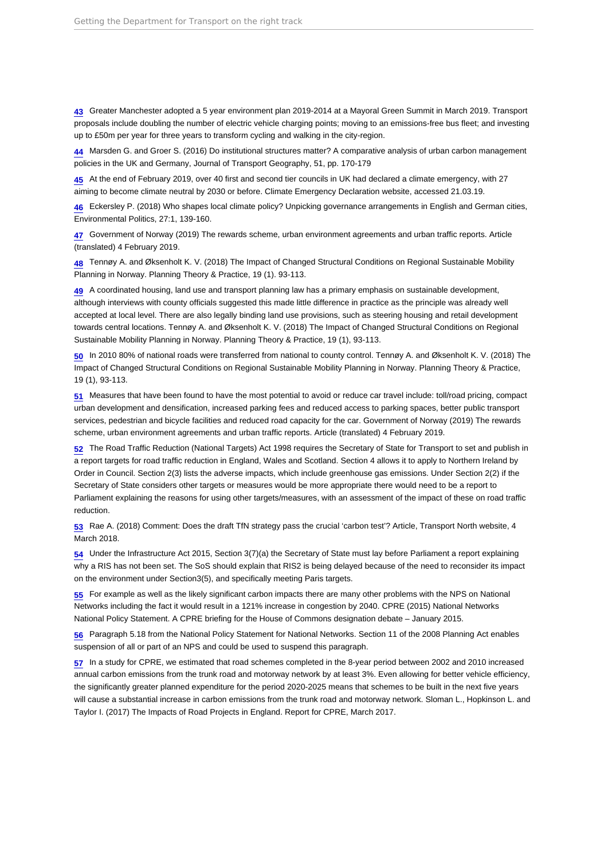<span id="page-14-0"></span>[43](#page-5-0) Greater Manchester adopted a 5 year environment plan 2019-2014 at a Mayoral Green Summit in March 2019. Transport proposals include doubling the number of electric vehicle charging points; moving to an emissions-free bus fleet; and investing up to £50m per year for three years to transform cycling and walking in the city-region.

[44](#page-5-0) Marsden G. and Groer S. (2016) Do institutional structures matter? A comparative analysis of urban carbon management policies in the UK and Germany, Journal of Transport Geography, 51, pp. 170-179

[45](#page-5-0) At the end of February 2019, over 40 first and second tier councils in UK had declared a climate emergency, with 27 aiming to become climate neutral by 2030 or before. Climate Emergency Declaration website, accessed 21.03.19.

[46](#page-5-0) Eckersley P. (2018) Who shapes local climate policy? Unpicking governance arrangements in English and German cities, Environmental Politics, 27:1, 139-160.

[47](#page-5-0) Government of Norway (2019) The rewards scheme, urban environment agreements and urban traffic reports. Article (translated) 4 February 2019.

[48](#page-5-0) Tennøy A. and Øksenholt K. V. (2018) The Impact of Changed Structural Conditions on Regional Sustainable Mobility Planning in Norway. Planning Theory & Practice, 19 (1). 93-113.

[49](#page-5-0) A coordinated housing, land use and transport planning law has a primary emphasis on sustainable development, although interviews with county officials suggested this made little difference in practice as the principle was already well accepted at local level. There are also legally binding land use provisions, such as steering housing and retail development towards central locations. Tennøy A. and Øksenholt K. V. (2018) The Impact of Changed Structural Conditions on Regional Sustainable Mobility Planning in Norway. Planning Theory & Practice, 19 (1), 93-113.

[50](#page-5-0) In 2010 80% of national roads were transferred from national to county control. Tennøy A. and Øksenholt K. V. (2018) The Impact of Changed Structural Conditions on Regional Sustainable Mobility Planning in Norway. Planning Theory & Practice, 19 (1), 93-113.

[51](#page-5-0) Measures that have been found to have the most potential to avoid or reduce car travel include: toll/road pricing, compact urban development and densification, increased parking fees and reduced access to parking spaces, better public transport services, pedestrian and bicycle facilities and reduced road capacity for the car. Government of Norway (2019) The rewards scheme, urban environment agreements and urban traffic reports. Article (translated) 4 February 2019.

[52](#page-6-0) The Road Traffic Reduction (National Targets) Act 1998 requires the Secretary of State for Transport to set and publish in a report targets for road traffic reduction in England, Wales and Scotland. Section 4 allows it to apply to Northern Ireland by Order in Council. Section 2(3) lists the adverse impacts, which include greenhouse gas emissions. Under Section 2(2) if the Secretary of State considers other targets or measures would be more appropriate there would need to be a report to Parliament explaining the reasons for using other targets/measures, with an assessment of the impact of these on road traffic reduction.

[53](#page-6-0) Rae A. (2018) Comment: Does the draft TfN strategy pass the crucial 'carbon test'? Article, Transport North website, 4 March 2018.

[54](#page-6-0) Under the Infrastructure Act 2015, Section 3(7)(a) the Secretary of State must lay before Parliament a report explaining why a RIS has not been set. The SoS should explain that RIS2 is being delayed because of the need to reconsider its impact on the environment under Section3(5), and specifically meeting Paris targets.

[55](#page-6-0) For example as well as the likely significant carbon impacts there are many other problems with the NPS on National Networks including the fact it would result in a 121% increase in congestion by 2040. CPRE (2015) National Networks National Policy Statement. A CPRE briefing for the House of Commons designation debate – January 2015.

[56](#page-6-0) Paragraph 5.18 from the National Policy Statement for National Networks. Section 11 of the 2008 Planning Act enables suspension of all or part of an NPS and could be used to suspend this paragraph.

[57](#page-6-0) In a study for CPRE, we estimated that road schemes completed in the 8-year period between 2002 and 2010 increased annual carbon emissions from the trunk road and motorway network by at least 3%. Even allowing for better vehicle efficiency, the significantly greater planned expenditure for the period 2020-2025 means that schemes to be built in the next five years will cause a substantial increase in carbon emissions from the trunk road and motorway network. Sloman L., Hopkinson L. and Taylor I. (2017) The Impacts of Road Projects in England. Report for CPRE, March 2017.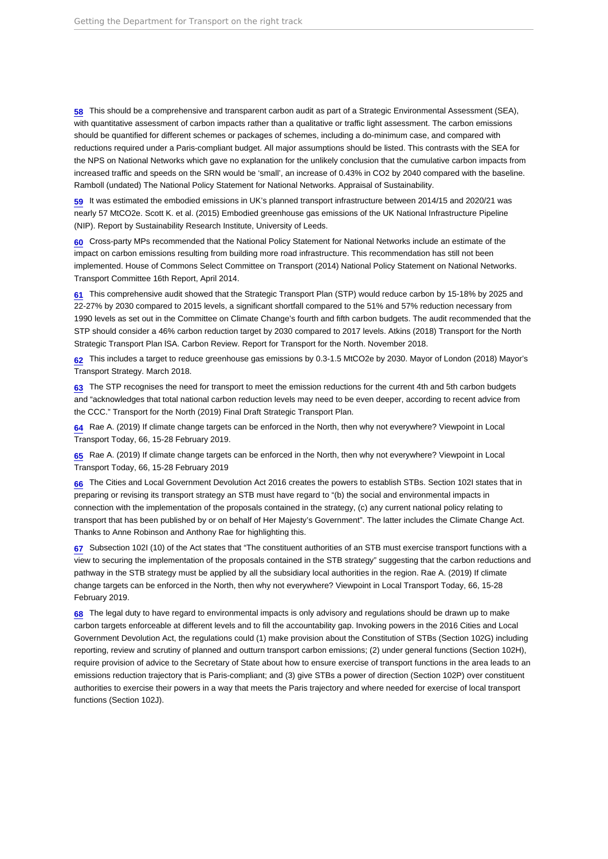<span id="page-15-0"></span>[58](#page-6-0) This should be a comprehensive and transparent carbon audit as part of a Strategic Environmental Assessment (SEA), with quantitative assessment of carbon impacts rather than a qualitative or traffic light assessment. The carbon emissions should be quantified for different schemes or packages of schemes, including a do-minimum case, and compared with reductions required under a Paris-compliant budget. All major assumptions should be listed. This contrasts with the SEA for the NPS on National Networks which gave no explanation for the unlikely conclusion that the cumulative carbon impacts from increased traffic and speeds on the SRN would be 'small', an increase of 0.43% in CO2 by 2040 compared with the baseline. Ramboll (undated) The National Policy Statement for National Networks. Appraisal of Sustainability.

[59](#page-6-0) It was estimated the embodied emissions in UK's planned transport infrastructure between 2014/15 and 2020/21 was nearly 57 MtCO2e. Scott K. et al. (2015) Embodied greenhouse gas emissions of the UK National Infrastructure Pipeline (NIP). Report by Sustainability Research Institute, University of Leeds.

[60](#page-6-0) Cross-party MPs recommended that the National Policy Statement for National Networks include an estimate of the impact on carbon emissions resulting from building more road infrastructure. This recommendation has still not been implemented. House of Commons Select Committee on Transport (2014) National Policy Statement on National Networks. Transport Committee 16th Report, April 2014.

[61](#page-6-0) This comprehensive audit showed that the Strategic Transport Plan (STP) would reduce carbon by 15-18% by 2025 and 22-27% by 2030 compared to 2015 levels, a significant shortfall compared to the 51% and 57% reduction necessary from 1990 levels as set out in the Committee on Climate Change's fourth and fifth carbon budgets. The audit recommended that the STP should consider a 46% carbon reduction target by 2030 compared to 2017 levels. Atkins (2018) Transport for the North Strategic Transport Plan lSA. Carbon Review. Report for Transport for the North. November 2018.

[62](#page-6-0) This includes a target to reduce greenhouse gas emissions by 0.3-1.5 MtCO2e by 2030. Mayor of London (2018) Mayor's Transport Strategy. March 2018.

[63](#page-6-0) The STP recognises the need for transport to meet the emission reductions for the current 4th and 5th carbon budgets and "acknowledges that total national carbon reduction levels may need to be even deeper, according to recent advice from the CCC." Transport for the North (2019) Final Draft Strategic Transport Plan.

[64](#page-6-0) Rae A. (2019) If climate change targets can be enforced in the North, then why not everywhere? Viewpoint in Local Transport Today, 66, 15-28 February 2019.

[65](#page-7-0) Rae A. (2019) If climate change targets can be enforced in the North, then why not everywhere? Viewpoint in Local Transport Today, 66, 15-28 February 2019

[66](#page-7-0) The Cities and Local Government Devolution Act 2016 creates the powers to establish STBs. Section 102I states that in preparing or revising its transport strategy an STB must have regard to "(b) the social and environmental impacts in connection with the implementation of the proposals contained in the strategy, (c) any current national policy relating to transport that has been published by or on behalf of Her Majesty's Government". The latter includes the Climate Change Act. Thanks to Anne Robinson and Anthony Rae for highlighting this.

[67](#page-7-0) Subsection 102I (10) of the Act states that "The constituent authorities of an STB must exercise transport functions with a view to securing the implementation of the proposals contained in the STB strategy" suggesting that the carbon reductions and pathway in the STB strategy must be applied by all the subsidiary local authorities in the region. Rae A. (2019) If climate change targets can be enforced in the North, then why not everywhere? Viewpoint in Local Transport Today, 66, 15-28 February 2019.

[68](#page-7-0) The legal duty to have regard to environmental impacts is only advisory and regulations should be drawn up to make carbon targets enforceable at different levels and to fill the accountability gap. Invoking powers in the 2016 Cities and Local Government Devolution Act, the regulations could (1) make provision about the Constitution of STBs (Section 102G) including reporting, review and scrutiny of planned and outturn transport carbon emissions; (2) under general functions (Section 102H), require provision of advice to the Secretary of State about how to ensure exercise of transport functions in the area leads to an emissions reduction trajectory that is Paris-compliant; and (3) give STBs a power of direction (Section 102P) over constituent authorities to exercise their powers in a way that meets the Paris trajectory and where needed for exercise of local transport functions (Section 102J).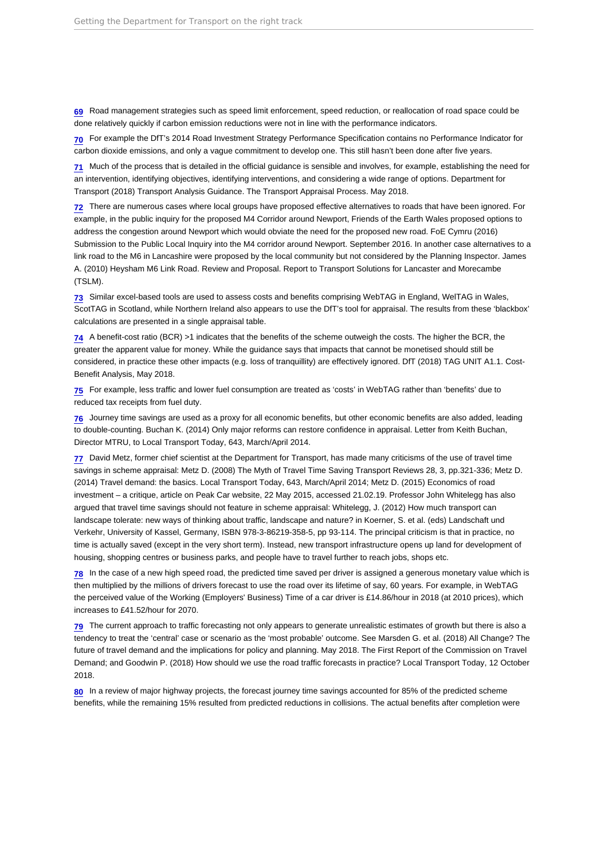<span id="page-16-0"></span>[69](#page-7-0) Road management strategies such as speed limit enforcement, speed reduction, or reallocation of road space could be done relatively quickly if carbon emission reductions were not in line with the performance indicators.

[70](#page-7-0) For example the DfT's 2014 Road Investment Strategy Performance Specification contains no Performance Indicator for carbon dioxide emissions, and only a vague commitment to develop one. This still hasn't been done after five years.

[71](#page-7-0) Much of the process that is detailed in the official guidance is sensible and involves, for example, establishing the need for an intervention, identifying objectives, identifying interventions, and considering a wide range of options. Department for Transport (2018) Transport Analysis Guidance. The Transport Appraisal Process. May 2018.

[72](#page-7-0) There are numerous cases where local groups have proposed effective alternatives to roads that have been ignored. For example, in the public inquiry for the proposed M4 Corridor around Newport, Friends of the Earth Wales proposed options to address the congestion around Newport which would obviate the need for the proposed new road. FoE Cymru (2016) Submission to the Public Local Inquiry into the M4 corridor around Newport. September 2016. In another case alternatives to a link road to the M6 in Lancashire were proposed by the local community but not considered by the Planning Inspector. James A. (2010) Heysham M6 Link Road. Review and Proposal. Report to Transport Solutions for Lancaster and Morecambe (TSLM).

[73](#page-7-0) Similar excel-based tools are used to assess costs and benefits comprising WebTAG in England, WelTAG in Wales, ScotTAG in Scotland, while Northern Ireland also appears to use the DfT's tool for appraisal. The results from these 'blackbox' calculations are presented in a single appraisal table.

[74](#page-7-0) A benefit-cost ratio (BCR) >1 indicates that the benefits of the scheme outweigh the costs. The higher the BCR, the greater the apparent value for money. While the guidance says that impacts that cannot be monetised should still be considered, in practice these other impacts (e.g. loss of tranquillity) are effectively ignored. DfT (2018) TAG UNIT A1.1. Cost-Benefit Analysis, May 2018.

[75](#page-7-0) For example, less traffic and lower fuel consumption are treated as 'costs' in WebTAG rather than 'benefits' due to reduced tax receipts from fuel duty.

[76](#page-7-0) Journey time savings are used as a proxy for all economic benefits, but other economic benefits are also added, leading to double-counting. Buchan K. (2014) Only major reforms can restore confidence in appraisal. Letter from Keith Buchan, Director MTRU, to Local Transport Today, 643, March/April 2014.

[77](#page-7-0) David Metz, former chief scientist at the Department for Transport, has made many criticisms of the use of travel time savings in scheme appraisal: Metz D. (2008) The Myth of Travel Time Saving Transport Reviews 28, 3, pp.321-336; Metz D. (2014) Travel demand: the basics. Local Transport Today, 643, March/April 2014; Metz D. (2015) Economics of road investment – a critique, article on Peak Car website, 22 May 2015, accessed 21.02.19. Professor John Whitelegg has also argued that travel time savings should not feature in scheme appraisal: Whitelegg, J. (2012) How much transport can landscape tolerate: new ways of thinking about traffic, landscape and nature? in Koerner, S. et al. (eds) Landschaft und Verkehr, University of Kassel, Germany, ISBN 978-3-86219-358-5, pp 93-114. The principal criticism is that in practice, no time is actually saved (except in the very short term). Instead, new transport infrastructure opens up land for development of housing, shopping centres or business parks, and people have to travel further to reach jobs, shops etc.

[78](#page-7-0) In the case of a new high speed road, the predicted time saved per driver is assigned a generous monetary value which is then multiplied by the millions of drivers forecast to use the road over its lifetime of say, 60 years. For example, in WebTAG the perceived value of the Working (Employers' Business) Time of a car driver is £14.86/hour in 2018 (at 2010 prices), which increases to £41.52/hour for 2070.

[79](#page-7-0) The current approach to traffic forecasting not only appears to generate unrealistic estimates of growth but there is also a tendency to treat the 'central' case or scenario as the 'most probable' outcome. See Marsden G. et al. (2018) All Change? The future of travel demand and the implications for policy and planning. May 2018. The First Report of the Commission on Travel Demand; and Goodwin P. (2018) How should we use the road traffic forecasts in practice? Local Transport Today, 12 October 2018.

[80](#page-7-0) In a review of major highway projects, the forecast journey time savings accounted for 85% of the predicted scheme benefits, while the remaining 15% resulted from predicted reductions in collisions. The actual benefits after completion were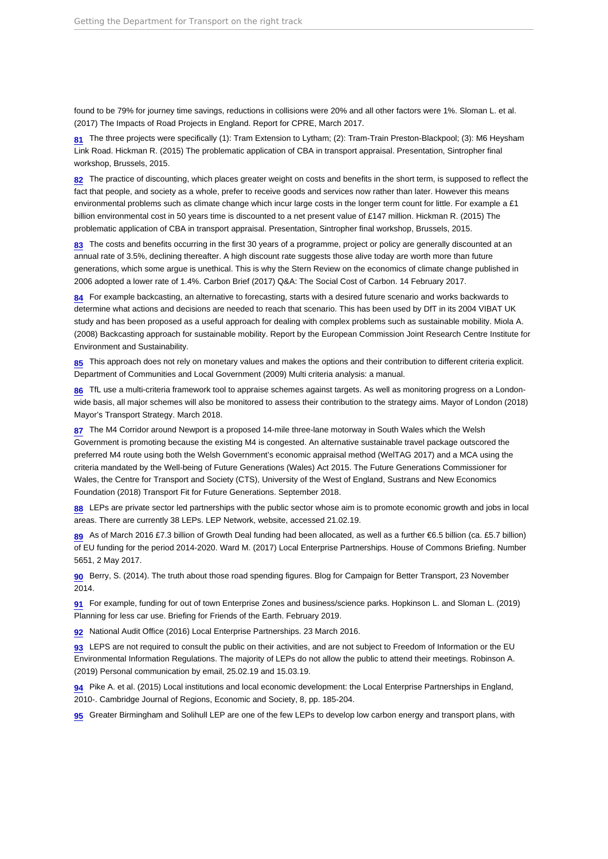<span id="page-17-0"></span>found to be 79% for journey time savings, reductions in collisions were 20% and all other factors were 1%. Sloman L. et al. (2017) The Impacts of Road Projects in England. Report for CPRE, March 2017.

[81](#page-8-0) The three projects were specifically (1): Tram Extension to Lytham; (2): Tram-Train Preston-Blackpool; (3): M6 Heysham Link Road. Hickman R. (2015) The problematic application of CBA in transport appraisal. Presentation, Sintropher final workshop, Brussels, 2015.

[82](#page-8-0) The practice of discounting, which places greater weight on costs and benefits in the short term, is supposed to reflect the fact that people, and society as a whole, prefer to receive goods and services now rather than later. However this means environmental problems such as climate change which incur large costs in the longer term count for little. For example a £1 billion environmental cost in 50 years time is discounted to a net present value of £147 million. Hickman R. (2015) The problematic application of CBA in transport appraisal. Presentation, Sintropher final workshop, Brussels, 2015.

[83](#page-8-0) The costs and benefits occurring in the first 30 years of a programme, project or policy are generally discounted at an annual rate of 3.5%, declining thereafter. A high discount rate suggests those alive today are worth more than future generations, which some argue is unethical. This is why the Stern Review on the economics of climate change published in 2006 adopted a lower rate of 1.4%. Carbon Brief (2017) Q&A: The Social Cost of Carbon. 14 February 2017.

[84](#page-8-0) For example backcasting, an alternative to forecasting, starts with a desired future scenario and works backwards to determine what actions and decisions are needed to reach that scenario. This has been used by DfT in its 2004 VIBAT UK study and has been proposed as a useful approach for dealing with complex problems such as sustainable mobility. Miola A. (2008) Backcasting approach for sustainable mobility. Report by the European Commission Joint Research Centre Institute for Environment and Sustainability.

[85](#page-8-0) This approach does not rely on monetary values and makes the options and their contribution to different criteria explicit. Department of Communities and Local Government (2009) Multi criteria analysis: a manual.

[86](#page-8-0) TfL use a multi-criteria framework tool to appraise schemes against targets. As well as monitoring progress on a Londonwide basis, all major schemes will also be monitored to assess their contribution to the strategy aims. Mayor of London (2018) Mayor's Transport Strategy. March 2018.

[87](#page-8-0) The M4 Corridor around Newport is a proposed 14-mile three-lane motorway in South Wales which the Welsh Government is promoting because the existing M4 is congested. An alternative sustainable travel package outscored the preferred M4 route using both the Welsh Government's economic appraisal method (WelTAG 2017) and a MCA using the criteria mandated by the Well-being of Future Generations (Wales) Act 2015. The Future Generations Commissioner for Wales, the Centre for Transport and Society (CTS), University of the West of England, Sustrans and New Economics Foundation (2018) Transport Fit for Future Generations. September 2018.

[88](#page-8-0) LEPs are private sector led partnerships with the public sector whose aim is to promote economic growth and jobs in local areas. There are currently 38 LEPs. LEP Network, website, accessed 21.02.19.

[89](#page-8-0) As of March 2016 £7.3 billion of Growth Deal funding had been allocated, as well as a further €6.5 billion (ca. £5.7 billion) of EU funding for the period 2014-2020. Ward M. (2017) Local Enterprise Partnerships. House of Commons Briefing. Number 5651, 2 May 2017.

[90](#page-8-0) Berry, S. (2014). The truth about those road spending figures. Blog for Campaign for Better Transport, 23 November 2014.

[91](#page-9-0) For example, funding for out of town Enterprise Zones and business/science parks. Hopkinson L. and Sloman L. (2019) Planning for less car use. Briefing for Friends of the Earth. February 2019.

[92](#page-9-0) National Audit Office (2016) Local Enterprise Partnerships. 23 March 2016.

[93](#page-9-0) LEPS are not required to consult the public on their activities, and are not subject to Freedom of Information or the EU Environmental Information Regulations. The majority of LEPs do not allow the public to attend their meetings. Robinson A. (2019) Personal communication by email, 25.02.19 and 15.03.19.

[94](#page-9-0) Pike A. et al. (2015) Local institutions and local economic development: the Local Enterprise Partnerships in England, 2010-. Cambridge Journal of Regions, Economic and Society, 8, pp. 185-204.

[95](#page-9-0) Greater Birmingham and Solihull LEP are one of the few LEPs to develop low carbon energy and transport plans, with